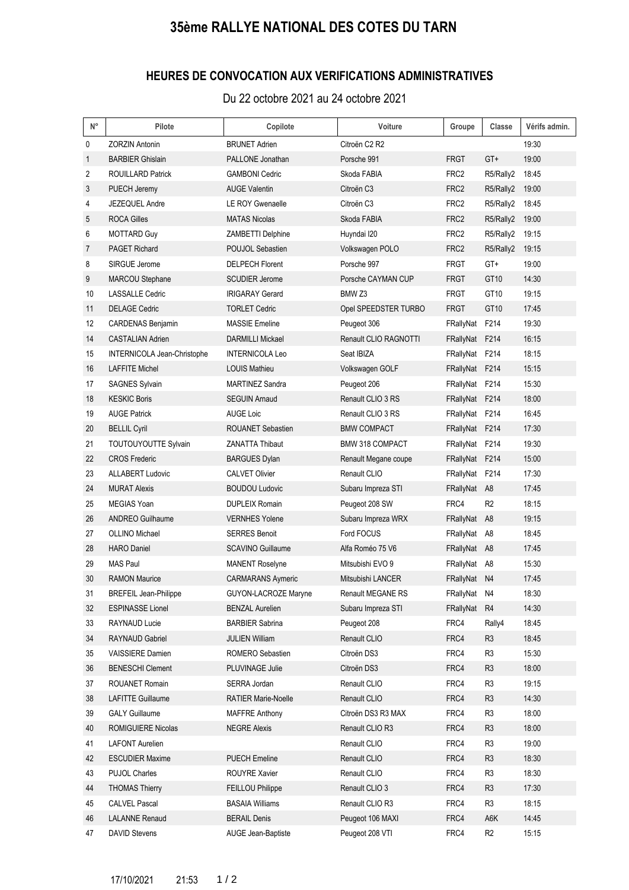## **35ème RALLYE NATIONAL DES COTES DU TARN**

## **HEURES DE CONVOCATION AUX VERIFICATIONS ADMINISTRATIVES**

Du 22 octobre 2021 au 24 octobre 2021

| N° | Pilote                       | Copilote                   | Voiture                | Groupe           | Classe           | Vérifs admin. |
|----|------------------------------|----------------------------|------------------------|------------------|------------------|---------------|
| 0  | <b>ZORZIN Antonin</b>        | <b>BRUNET Adrien</b>       | Citroën C2 R2          |                  |                  | 19:30         |
| 1  | <b>BARBIER Ghislain</b>      | PALLONE Jonathan           | Porsche 991            | <b>FRGT</b>      | GT+              | 19:00         |
| 2  | <b>ROUILLARD Patrick</b>     | <b>GAMBONI Cedric</b>      | Skoda FABIA            | FRC <sub>2</sub> | R5/Rally2        | 18:45         |
| 3  | PUECH Jeremy                 | <b>AUGE Valentin</b>       | Citroën C <sub>3</sub> | FRC <sub>2</sub> | R5/Rally2        | 19:00         |
| 4  | JEZEQUEL Andre               | LE ROY Gwenaelle           | Citroën C3             | FRC <sub>2</sub> | R5/Rally2        | 18:45         |
| 5  | <b>ROCA Gilles</b>           | <b>MATAS Nicolas</b>       | Skoda FABIA            | FRC <sub>2</sub> | R5/Rally2        | 19:00         |
| 6  | <b>MOTTARD Guy</b>           | ZAMBETTI Delphine          | Huyndai I20            | FRC <sub>2</sub> | R5/Rally2        | 19:15         |
| 7  | <b>PAGET Richard</b>         | POUJOL Sebastien           | Volkswagen POLO        | FRC <sub>2</sub> | R5/Rally2        | 19:15         |
| 8  | SIRGUE Jerome                | <b>DELPECH Florent</b>     | Porsche 997            | <b>FRGT</b>      | GT+              | 19:00         |
| 9  | MARCOU Stephane              | <b>SCUDIER Jerome</b>      | Porsche CAYMAN CUP     | <b>FRGT</b>      | GT <sub>10</sub> | 14:30         |
| 10 | <b>LASSALLE Cedric</b>       | <b>IRIGARAY Gerard</b>     | BMW <sub>Z3</sub>      | <b>FRGT</b>      | GT <sub>10</sub> | 19:15         |
| 11 | <b>DELAGE Cedric</b>         | <b>TORLET Cedric</b>       | Opel SPEEDSTER TURBO   | <b>FRGT</b>      | GT <sub>10</sub> | 17:45         |
| 12 | <b>CARDENAS Benjamin</b>     | <b>MASSIE Emeline</b>      | Peugeot 306            | FRallyNat        | F214             | 19:30         |
| 14 | <b>CASTALIAN Adrien</b>      | <b>DARMILLI Mickael</b>    | Renault CLIO RAGNOTTI  | FRallyNat        | F214             | 16:15         |
| 15 | INTERNICOLA Jean-Christophe  | <b>INTERNICOLA Leo</b>     | Seat IBIZA             | FRallyNat        | F214             | 18:15         |
| 16 | LAFFITE Michel               | <b>LOUIS Mathieu</b>       | Volkswagen GOLF        | FRallyNat        | F214             | 15:15         |
| 17 | SAGNES Sylvain               | <b>MARTINEZ Sandra</b>     | Peugeot 206            | FRallyNat F214   |                  | 15:30         |
| 18 | <b>KESKIC Boris</b>          | <b>SEGUIN Arnaud</b>       | Renault CLIO 3 RS      | FRallyNat        | F214             | 18:00         |
| 19 | <b>AUGE Patrick</b>          | <b>AUGE Loic</b>           | Renault CLIO 3 RS      | FRallyNat        | F214             | 16:45         |
| 20 | <b>BELLIL Cyril</b>          | <b>ROUANET Sebastien</b>   | <b>BMW COMPACT</b>     | FRallyNat        | F214             | 17:30         |
| 21 | TOUTOUYOUTTE Sylvain         | <b>ZANATTA Thibaut</b>     | <b>BMW 318 COMPACT</b> | FRallyNat        | F214             | 19:30         |
| 22 | <b>CROS Frederic</b>         | <b>BARGUES Dylan</b>       | Renault Megane coupe   | FRallyNat        | F214             | 15:00         |
| 23 | <b>ALLABERT Ludovic</b>      | <b>CALVET Olivier</b>      | Renault CLIO           | FRallyNat        | F214             | 17:30         |
| 24 | <b>MURAT Alexis</b>          | <b>BOUDOU Ludovic</b>      | Subaru Impreza STI     | FRallyNat A8     |                  | 17:45         |
| 25 | <b>MEGIAS Yoan</b>           | <b>DUPLEIX Romain</b>      | Peugeot 208 SW         | FRC4             | R <sub>2</sub>   | 18:15         |
| 26 | <b>ANDREO Guilhaume</b>      | <b>VERNHES Yolene</b>      | Subaru Impreza WRX     | FRallyNat        | A <sub>8</sub>   | 19:15         |
| 27 | <b>OLLINO Michael</b>        | <b>SERRES Benoit</b>       | Ford FOCUS             | FRallyNat        | A8               | 18:45         |
| 28 | <b>HARO</b> Daniel           | <b>SCAVINO Guillaume</b>   | Alfa Roméo 75 V6       | FRallyNat        | A8               | 17:45         |
| 29 | <b>MAS Paul</b>              | <b>MANENT Roselyne</b>     | Mitsubishi EVO 9       | FRallyNat        | A8               | 15:30         |
| 30 | <b>RAMON Maurice</b>         | <b>CARMARANS Aymeric</b>   | Mitsubishi LANCER      | FRallyNat N4     |                  | 17:45         |
| 31 | <b>BREFEIL Jean-Philippe</b> | GUYON-LACROZE Maryne       | Renault MEGANE RS      | FRallyNat        | N4               | 18:30         |
| 32 | <b>ESPINASSE Lionel</b>      | <b>BENZAL Aurelien</b>     | Subaru Impreza STI     | FRallyNat        | R <sub>4</sub>   | 14:30         |
| 33 | RAYNAUD Lucie                | <b>BARBIER Sabrina</b>     | Peugeot 208            | FRC4             | Rally4           | 18:45         |
| 34 | RAYNAUD Gabriel              | <b>JULIEN William</b>      | Renault CLIO           | FRC4             | R3               | 18:45         |
| 35 | VAISSIERE Damien             | ROMERO Sebastien           | Citroën DS3            | FRC4             | R <sub>3</sub>   | 15:30         |
| 36 | <b>BENESCHI Clement</b>      | PLUVINAGE Julie            | Citroën DS3            | FRC4             | R <sub>3</sub>   | 18:00         |
| 37 | ROUANET Romain               | SERRA Jordan               | Renault CLIO           | FRC4             | R3               | 19:15         |
| 38 | <b>LAFITTE Guillaume</b>     | <b>RATIER Marie-Noelle</b> | Renault CLIO           | FRC4             | R <sub>3</sub>   | 14:30         |
| 39 | <b>GALY Guillaume</b>        | <b>MAFFRE Anthony</b>      | Citroën DS3 R3 MAX     | FRC4             | R <sub>3</sub>   | 18:00         |
| 40 | <b>ROMIGUIERE Nicolas</b>    | <b>NEGRE Alexis</b>        | Renault CLIO R3        | FRC4             | R3               | 18:00         |
| 41 | <b>LAFONT Aurelien</b>       |                            | Renault CLIO           | FRC4             | R <sub>3</sub>   | 19:00         |
| 42 | <b>ESCUDIER Maxime</b>       | <b>PUECH Emeline</b>       | Renault CLIO           | FRC4             | R <sub>3</sub>   | 18:30         |
| 43 | <b>PUJOL Charles</b>         | <b>ROUYRE Xavier</b>       | Renault CLIO           | FRC4             | R <sub>3</sub>   | 18:30         |
| 44 | <b>THOMAS Thierry</b>        | FEILLOU Philippe           | Renault CLIO 3         | FRC4             | R <sub>3</sub>   | 17:30         |
| 45 | <b>CALVEL Pascal</b>         | <b>BASAIA Williams</b>     | Renault CLIO R3        | FRC4             | R <sub>3</sub>   | 18:15         |
| 46 | <b>LALANNE Renaud</b>        | <b>BERAIL Denis</b>        | Peugeot 106 MAXI       | FRC4             | A6K              | 14:45         |
| 47 | <b>DAVID Stevens</b>         | AUGE Jean-Baptiste         | Peugeot 208 VTI        | FRC4             | R <sub>2</sub>   | 15:15         |